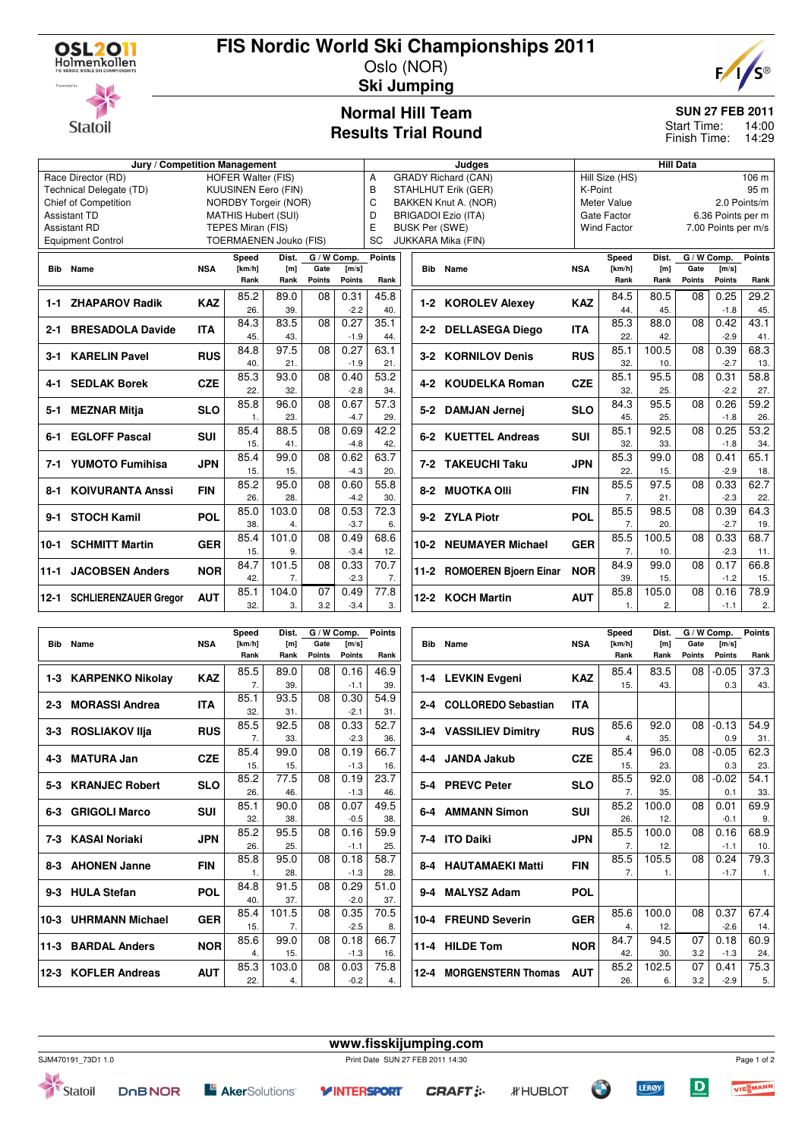

**Statoil** 

# **FIS Nordic World Ski Championships 2011**

Oslo (NOR) **Ski Jumping**



 $54.9$ 31.

 $62.3$ 23.

54.1 33.

69.9 9.

68.9 10.

79.3 1.

67.4 14.

60.9 24.

75.3 5.

 $08 - 0.13$  $0.9$ 

 $08 - 0.05$ 0.3

 $08 - 0.02$ 0.1

 $08 0.01$ -0.1

08 0.16 -1.1

 $08 0.24$ -1.7

08 0.37 -2.6

> 0.18 -1.3

 0.41 -2.9

07 3.2

07 3.2

#### **Normal Hill Team Results Trial Round**

#### **SUN 27 FEB 2011**

14:00 14:29 Start Time: Finish Time:

|                                                       |                                                    | Judges     |                   |                |               |                                 | <b>Hill Data</b>                |                       |                    |                            |             |                         |                  |                   |                     |               |  |
|-------------------------------------------------------|----------------------------------------------------|------------|-------------------|----------------|---------------|---------------------------------|---------------------------------|-----------------------|--------------------|----------------------------|-------------|-------------------------|------------------|-------------------|---------------------|---------------|--|
| <b>HOFER Walter (FIS)</b><br>Race Director (RD)       |                                                    |            |                   |                |               |                                 | Α<br><b>GRADY Richard (CAN)</b> |                       |                    |                            |             | Hill Size (HS)<br>106 m |                  |                   |                     |               |  |
| <b>KUUSINEN Eero (FIN)</b><br>Technical Delegate (TD) |                                                    |            |                   |                |               |                                 | B<br><b>STAHLHUT Erik (GER)</b> |                       |                    |                            |             | K-Point                 |                  |                   |                     | 95 m          |  |
| NORDBY Torgeir (NOR)<br>Chief of Competition          |                                                    |            |                   |                |               | C<br>BAKKEN Knut A. (NOR)       |                                 |                       |                    |                            | Meter Value |                         |                  |                   | 2.0 Points/m        |               |  |
| <b>MATHIS Hubert (SUI)</b><br><b>Assistant TD</b>     |                                                    |            |                   |                |               | D<br><b>BRIGADOI Ezio (ITA)</b> |                                 |                       |                    |                            | Gate Factor |                         |                  | 6.36 Points per m |                     |               |  |
|                                                       | <b>Assistant RD</b>                                |            | TEPES Miran (FIS) |                |               |                                 | E                               | <b>BUSK Per (SWE)</b> |                    |                            |             | <b>Wind Factor</b>      |                  |                   | 7.00 Points per m/s |               |  |
|                                                       | TOERMAENEN Jouko (FIS)<br><b>Equipment Control</b> |            |                   |                |               | <b>SC</b>                       |                                 |                       | JUKKARA Mika (FIN) |                            |             |                         |                  |                   |                     |               |  |
|                                                       |                                                    |            | Speed             | Dist.          |               | $\overline{G}$ / W Comp.        | <b>Points</b>                   |                       |                    |                            |             | Speed                   | Dist.            | G / W Comp.       |                     | <b>Points</b> |  |
|                                                       | <b>Bib</b> Name                                    | <b>NSA</b> | [km/h]            | [m]            | Gate          | [m/s]                           |                                 |                       |                    | <b>Bib</b> Name            | <b>NSA</b>  | [km/h]                  | [m]              | Gate              | [m/s]               |               |  |
|                                                       |                                                    |            | Rank              | Rank           | <b>Points</b> | <b>Points</b>                   | Rank                            |                       |                    |                            |             | Rank                    | Rank             | <b>Points</b>     | Points              | Rank          |  |
|                                                       |                                                    |            | 85.2              | 89.0           | 08            | 0.31                            | 45.8                            |                       |                    |                            |             | 84.5                    | 80.5             | 08                | 0.25                | 29.2          |  |
| $1-1$                                                 | <b>ZHAPAROV Radik</b>                              | <b>KAZ</b> | 26.               | 39.            |               | $-2.2$                          | 40.                             |                       |                    | 1-2 KOROLEV Alexey         | <b>KAZ</b>  | 44.                     | 45.              |                   | $-1.8$              | 45.           |  |
|                                                       |                                                    |            | 84.3              | 83.5           | 08            | 0.27                            | 35.1                            |                       |                    |                            |             | 85.3                    | 88.0             | 08                | 0.42                | 43.1          |  |
| $2 - 1$                                               | <b>BRESADOLA Davide</b>                            | <b>ITA</b> | 45.               | 43.            |               | $-1.9$                          | 44.                             |                       |                    | 2-2 DELLASEGA Diego        | <b>ITA</b>  | 22.                     | 42.              |                   | $-2.9$              | 41.           |  |
|                                                       |                                                    |            | 84.8              | 97.5           | 08            | 0.27                            | 63.1                            |                       |                    |                            |             | 85.1                    | 100.5            | 08                | 0.39                | 68.3          |  |
| 3-1                                                   | <b>KARELIN Pavel</b>                               | <b>RUS</b> | 40.               | 21.            |               | $-1.9$                          | 21.                             |                       |                    | 3-2 KORNILOV Denis         | <b>RUS</b>  | 32.                     | 10.              |                   | $-2.7$              | 13.           |  |
|                                                       |                                                    |            | 85.3              | 93.0           | 08            | 0.40                            | 53.2                            |                       |                    |                            |             | 85.1                    | 95.5             | 08                | 0.31                | 58.8          |  |
| 4-1                                                   | <b>SEDLAK Borek</b>                                | <b>CZE</b> | 22.               | 32.            |               | $-2.8$                          | 34.                             |                       |                    | 4-2 KOUDELKA Roman         | <b>CZE</b>  | 32.                     | 25.              |                   | $-2.2$              | 27.           |  |
|                                                       |                                                    |            | 85.8              | 96.0           | 08            | 0.67                            | 57.3                            |                       |                    |                            |             | 84.3                    | 95.5             | 08                | 0.26                | 59.2          |  |
| 5-1                                                   | <b>MEZNAR Mitja</b>                                | <b>SLO</b> | $\mathbf{1}$ .    | 23.            |               | $-4.7$                          | 29.                             |                       |                    | 5-2 DAMJAN Jernej          | <b>SLO</b>  | 45.                     | 25.              |                   | $-1.8$              | 26.           |  |
|                                                       |                                                    |            | 85.4              | 88.5           | 08            | 0.69                            | 42.2                            |                       |                    |                            |             | 85.1                    | 92.5             | 08                | 0.25                | 53.2          |  |
| 6-1                                                   | <b>EGLOFF Pascal</b>                               | <b>SUI</b> | 15.               | 41.            |               | $-4.8$                          |                                 |                       |                    | 6-2 KUETTEL Andreas        | <b>SUI</b>  | 32.                     | 33.              |                   | $-1.8$              |               |  |
|                                                       |                                                    |            |                   |                |               |                                 | 42.<br>63.7                     |                       |                    |                            |             | 85.3                    |                  |                   |                     | 34.<br>65.1   |  |
|                                                       | 7-1 YUMOTO Fumihisa                                | <b>JPN</b> | 85.4              | 99.0           | 08            | 0.62                            |                                 |                       |                    | 7-2 TAKEUCHI Taku          | <b>JPN</b>  |                         | 99.0             | 08                | 0.41                |               |  |
|                                                       |                                                    |            | 15.               | 15.            |               | $-4.3$                          | 20.                             |                       |                    |                            |             | 22.                     | 15.              |                   | $-2.9$              | 18.           |  |
| 8-1                                                   | <b>KOIVURANTA Anssi</b>                            | <b>FIN</b> | 85.2              | 95.0           | 08            | 0.60                            | 55.8                            |                       |                    | 8-2 MUOTKA Olli            | <b>FIN</b>  | 85.5                    | 97.5             | 08                | 0.33                | 62.7          |  |
|                                                       |                                                    |            | 26.               | 28.            |               | $-4.2$                          | 30.                             |                       |                    |                            |             | 7.                      | 21.              |                   | $-2.3$              | 22.           |  |
| 9-1                                                   | <b>STOCH Kamil</b>                                 | POL        | 85.0              | 103.0          | 08            | 0.53                            | 72.3                            |                       |                    | 9-2 ZYLA Piotr             | POL         | 85.5                    | 98.5             | 08                | 0.39                | 64.3          |  |
|                                                       |                                                    |            | 38.               | $\overline{4}$ |               | $-3.7$                          | 6.                              |                       |                    |                            |             | $\overline{7}$ .        | 20.              |                   | $-2.7$              | 19.           |  |
| 10-1                                                  | <b>SCHMITT Martin</b>                              | <b>GER</b> | 85.4              | 101.0          | 08            | 0.49                            | 68.6                            | 10-2                  |                    | <b>NEUMAYER Michael</b>    | <b>GER</b>  | 85.5                    | 100.5            | 08                | 0.33                | 68.7          |  |
|                                                       |                                                    |            | 15.               | 9.             |               | $-3.4$                          | 12.                             |                       |                    |                            |             | 7.                      | 10.              |                   | $-2.3$              | 11.           |  |
| 11-1                                                  | <b>JACOBSEN Anders</b>                             | <b>NOR</b> | 84.7              | 101.5          | 08            | 0.33                            | 70.7                            |                       |                    | 11-2 ROMOEREN Bjoern Einar | <b>NOR</b>  | 84.9                    | 99.0             | 08                | 0.17                | 66.8          |  |
|                                                       |                                                    |            | 42.               | 7.             |               | $-2.3$                          | 7.                              |                       |                    |                            |             | 39.                     | 15.              |                   | $-1.2$              | 15.           |  |
| 12-1                                                  | <b>SCHLIERENZAUER Gregor</b>                       | <b>AUT</b> | 85.1              | 104.0          | 07            | 0.49                            | 77.8                            |                       |                    | 12-2 KOCH Martin           | <b>AUT</b>  | 85.8                    | 105.0            | 08                | 0.16                | 78.9          |  |
|                                                       |                                                    |            | 32.               | 3.             | 3.2           | $-3.4$                          | 3.                              |                       |                    |                            |             | 1.                      | $\overline{2}$ . |                   | $-1.1$              | 2.            |  |
|                                                       |                                                    |            |                   |                |               |                                 |                                 |                       |                    |                            |             |                         |                  |                   |                     |               |  |
|                                                       |                                                    |            | Speed             | Dist.          |               | $G/W$ Comp.                     | <b>Points</b>                   |                       |                    |                            |             | Speed                   | Dist.            |                   | G / W Comp.         | <b>Points</b> |  |
|                                                       | <b>Bib</b> Name                                    | <b>NSA</b> | [km/h]            | [m]            | Gate          | [m/s]                           |                                 |                       |                    | <b>Bib</b> Name            | <b>NSA</b>  | [km/h]                  | [m]              | Gate              | [m/s]               |               |  |
|                                                       |                                                    |            | Rank              | Rank           | <b>Points</b> | Points                          | Rank                            |                       |                    |                            |             | Rank                    | Rank             | Points            | Points              | Rank          |  |
|                                                       |                                                    |            | 85.5              | 89.0           | 08            | 0.16                            | 46.9                            |                       |                    |                            |             | 85.4                    | 83.5             | 08                | $-0.05$             | 37.3          |  |
|                                                       | 1-3 KARPENKO Nikolay                               | <b>KAZ</b> | 7.                | 39.            |               | $-1.1$                          | 39.                             |                       |                    | 1-4 LEVKIN Evgeni          | <b>KAZ</b>  | 15.                     | 43.              |                   | 0.3                 | 43.           |  |

|  |                                |            | Rank                                           | Rank  | <b>Points</b> | <b>Points</b> | Rank |     |                 |                         |            | Rank | um,<br>Rank |
|--|--------------------------------|------------|------------------------------------------------|-------|---------------|---------------|------|-----|-----------------|-------------------------|------------|------|-------------|
|  | 1-3 KARPENKO Nikolay           | <b>KAZ</b> | 85.5                                           | 89.0  | 08            | 0.16          | 46.9 |     |                 | 1-4 LEVKIN Evgeni       | <b>KAZ</b> | 85.4 | 83.5        |
|  |                                |            | 7                                              | 39    |               | $-1.1$        | 39.  |     |                 |                         |            | 15.  | 43.         |
|  | 2-3 MORASSI Andrea             | <b>ITA</b> | 85.1                                           | 93.5  | 08            | 0.30          | 54.9 |     |                 | 2-4 COLLOREDO Sebastian | <b>ITA</b> |      |             |
|  |                                |            | 32.                                            | 31.   |               | $-2.1$        | 31.  |     |                 |                         |            |      |             |
|  | 3-3 ROSLIAKOV Ilja             |            | 85.5                                           | 92.5  | 08            | 0.33          | 52.7 |     |                 | 3-4 VASSILIEV Dimitry   | <b>RUS</b> | 85.6 | 92.0        |
|  |                                |            | 7.                                             | 33.   |               | $-2.3$        | 36.  |     |                 |                         |            | 4.   | 35.         |
|  | <b>CZE</b><br>4-3 MATURA Jan   |            | 85.4                                           | 99.0  | 08            | 0.19          | 66.7 |     |                 |                         | <b>CZE</b> | 85.4 | 96.0        |
|  |                                |            | 4-4 JANDA Jakub<br>$-1.3$<br>15.<br>15.<br>16. |       |               |               | 15.  | 23. |                 |                         |            |      |             |
|  | 5-3 KRANJEC Robert             |            | 85.2                                           | 77.5  | 08            | 0.19          | 23.7 |     |                 | 5-4 PREVC Peter         | <b>SLO</b> | 85.5 | 92.0        |
|  |                                | <b>SLO</b> | 26.                                            | 46.   |               | $-1.3$        | 46.  |     |                 |                         |            |      | 35.         |
|  | 6-3 GRIGOLI Marco              | <b>SUI</b> | 85.1                                           | 90.0  | 08            | 0.07          | 49.5 |     |                 | 6-4 AMMANN Simon        | <b>SUI</b> | 85.2 | 100.0       |
|  |                                |            | 32.                                            | 38.   |               | $-0.5$        | 38.  |     |                 |                         |            | 26.  | 12.         |
|  | 7-3 KASAI Noriaki              | <b>JPN</b> | 85.2                                           | 95.5  | 08            | 0.16          | 59.9 |     |                 | 7-4 ITO Daiki           | <b>JPN</b> | 85.5 | 100.0       |
|  |                                |            | 26.                                            | 25.   |               | $-1.1$        | 25.  |     |                 |                         |            | 7.   | 12.         |
|  | <b>FIN</b><br>8-3 AHONEN Janne |            | 85.8                                           | 95.0  | 08            | 0.18          | 58.7 |     |                 | 8-4 HAUTAMAEKI Matti    | <b>FIN</b> | 85.5 | 105.5       |
|  |                                |            | 1.                                             | 28.   |               | $-1.3$        | 28.  |     |                 |                         |            |      | 1.          |
|  | 9-3 HULA Stefan                | <b>POL</b> | 84.8                                           | 91.5  | 08            | 0.29          | 51.0 |     | 9-4 MALYSZ Adam |                         | <b>POL</b> |      |             |
|  |                                |            | 40.                                            | 37.   |               | $-2.0$        | 37.  |     |                 |                         |            |      |             |
|  | 10-3 UHRMANN Michael           |            | 85.4                                           | 101.5 | 08            | 0.35          | 70.5 |     |                 |                         |            | 85.6 | 100.0       |
|  |                                |            | 15.                                            | 7.    |               | $-2.5$        | 8.   |     |                 | 10-4 FREUND Severin     | <b>GER</b> | 4.   | 12.         |
|  |                                |            | 85.6                                           | 99.0  | 08            | 0.18          | 66.7 |     |                 |                         |            | 84.7 | 94.5        |
|  | 11-3 BARDAL Anders             | <b>NOR</b> | 4.                                             | 15.   |               | $-1.3$        | 16.  |     |                 | 11-4 HILDE Tom          | <b>NOR</b> | 42.  | 30.         |
|  |                                | <b>AUT</b> | 85.3                                           | 103.0 | 08            | 0.03          | 75.8 |     |                 |                         |            | 85.2 | 102.5       |
|  | 12-3 KOFLER Andreas            |            | 22.                                            | 4.    |               | $-0.2$        | 4.   |     |                 | 12-4 MORGENSTERN Thomas | <b>AUT</b> | 26.  | 6.          |
|  |                                |            |                                                |       |               |               |      |     |                 |                         |            |      |             |

SJM470191\_73D1 1.0 Print Date SUN 27 FEB 2011 14:30

**DOBNOR** Statoil

**Y INTERSPORT** 

**CRAFT:** 

**www.fisskijumping.com**

*IF* HUBLOT

**CONTRACTOR** 

Page 1 of 2VIESMANN